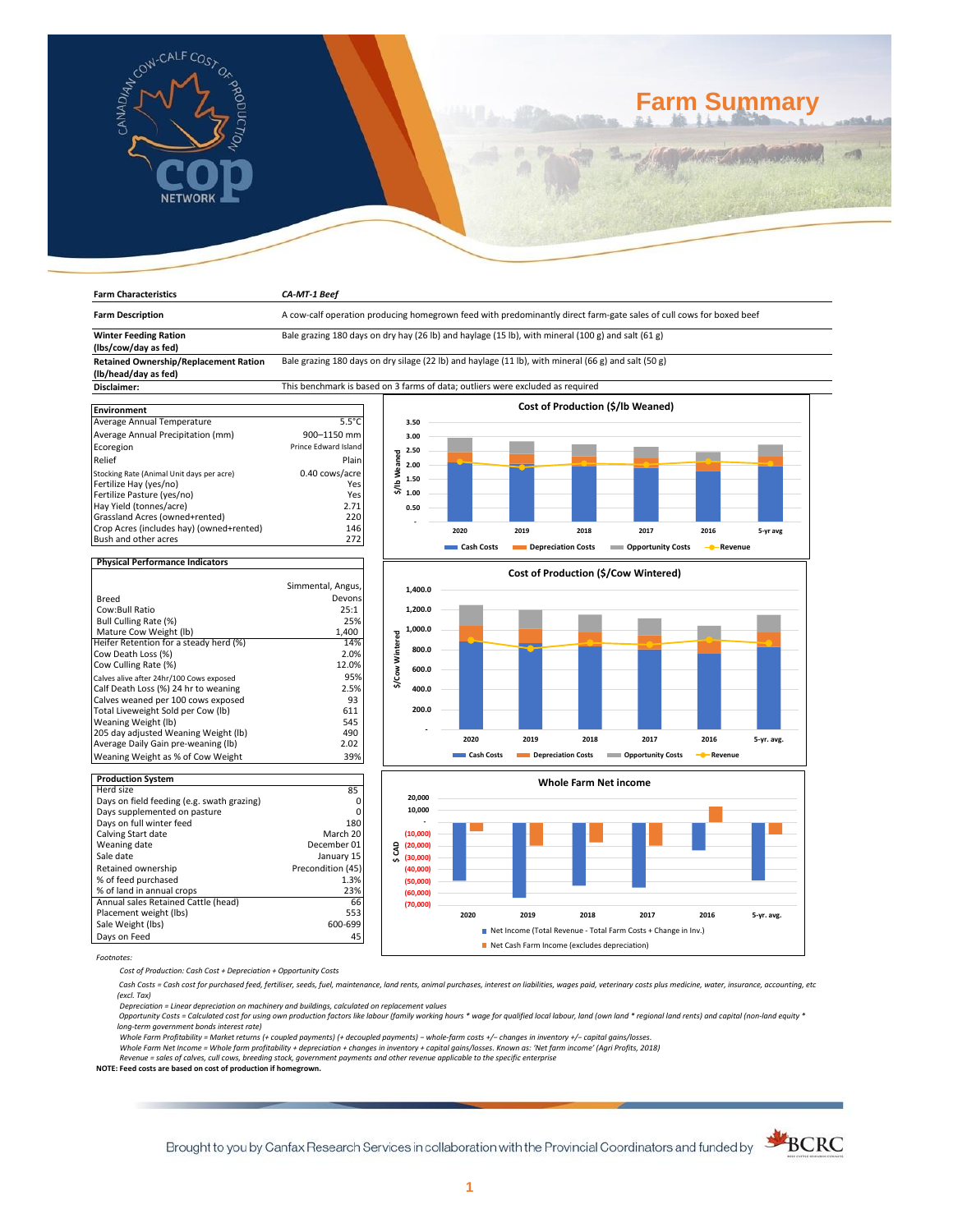

**Farm Characteristics** *CA-MT-1 Beef*

# **Farm Summary**

| <b>Farm Description</b>                                              | A cow-calf operation producing homegrown feed with predominantly direct farm-gate sales of cull cows for boxed beef |                 |          |            |      |                    |                                          |           |            |
|----------------------------------------------------------------------|---------------------------------------------------------------------------------------------------------------------|-----------------|----------|------------|------|--------------------|------------------------------------------|-----------|------------|
| <b>Winter Feeding Ration</b><br>(lbs/cow/day as fed)                 | Bale grazing 180 days on dry hay (26 lb) and haylage (15 lb), with mineral (100 g) and salt (61 g)                  |                 |          |            |      |                    |                                          |           |            |
| <b>Retained Ownership/Replacement Ration</b><br>(lb/head/day as fed) | Bale grazing 180 days on dry silage (22 lb) and haylage (11 lb), with mineral (66 g) and salt (50 g)                |                 |          |            |      |                    |                                          |           |            |
| Disclaimer:                                                          | This benchmark is based on 3 farms of data; outliers were excluded as required                                      |                 |          |            |      |                    |                                          |           |            |
|                                                                      |                                                                                                                     |                 |          |            |      |                    |                                          |           |            |
| <b>Environment</b>                                                   |                                                                                                                     |                 |          |            |      |                    | <b>Cost of Production (\$/lb Weaned)</b> |           |            |
| Average Annual Temperature                                           | $5.5^{\circ}$ C                                                                                                     |                 | 3.50     |            |      |                    |                                          |           |            |
| Average Annual Precipitation (mm)                                    | 900-1150 mm                                                                                                         |                 | 3.00     |            |      |                    |                                          |           |            |
| Ecoregion                                                            | <b>Prince Edward Island</b>                                                                                         |                 | 2.50     |            |      |                    |                                          |           |            |
| Relief                                                               | Plain                                                                                                               | \$/Ib Weaned    |          |            |      |                    |                                          |           |            |
| Stocking Rate (Animal Unit days per acre)                            | 0.40 cows/acre                                                                                                      |                 | 2.00     |            |      |                    |                                          |           |            |
| Fertilize Hay (yes/no)                                               | Yes                                                                                                                 |                 | 1.50     |            |      |                    |                                          |           |            |
| Fertilize Pasture (yes/no)                                           | Yes                                                                                                                 |                 | 1.00     |            |      |                    |                                          |           |            |
| Hay Yield (tonnes/acre)                                              | 2.71                                                                                                                |                 | 0.50     |            |      |                    |                                          |           |            |
| Grassland Acres (owned+rented)                                       | 220                                                                                                                 |                 |          |            |      |                    |                                          |           |            |
| Crop Acres (includes hay) (owned+rented)                             | 146                                                                                                                 |                 |          | 2020       | 2019 | 2018               | 2017                                     | 2016      |            |
| Bush and other acres                                                 | 272                                                                                                                 |                 |          |            |      |                    |                                          |           | 5-yr avg   |
|                                                                      |                                                                                                                     |                 |          | Cash Costs |      | Depreciation Costs | <b>Opportunity Costs</b>                 | - Revenue |            |
| <b>Physical Performance Indicators</b>                               |                                                                                                                     |                 |          |            |      |                    |                                          |           |            |
|                                                                      |                                                                                                                     |                 |          |            |      |                    | Cost of Production (\$/Cow Wintered)     |           |            |
|                                                                      | Simmental, Angus,                                                                                                   |                 |          |            |      |                    |                                          |           |            |
| <b>Breed</b>                                                         | Devons                                                                                                              |                 | 1,400.0  |            |      |                    |                                          |           |            |
| Cow:Bull Ratio                                                       | 25:1                                                                                                                |                 | 1,200.0  |            |      |                    |                                          |           |            |
| Bull Culling Rate (%)                                                | 25%                                                                                                                 |                 |          |            |      |                    |                                          |           |            |
| Mature Cow Weight (lb)                                               | 1,400                                                                                                               |                 | 1,000.0  |            |      |                    |                                          |           |            |
| Heifer Retention for a steady herd (%)                               | 14%                                                                                                                 | \$/Cow Wintered |          |            |      |                    |                                          |           |            |
| Cow Death Loss (%)                                                   | 2.0%                                                                                                                |                 | 800.0    |            |      |                    |                                          |           |            |
| Cow Culling Rate (%)                                                 | 12.0%                                                                                                               |                 | 600.0    |            |      |                    |                                          |           |            |
| Calves alive after 24hr/100 Cows exposed                             | 95%                                                                                                                 |                 |          |            |      |                    |                                          |           |            |
| Calf Death Loss (%) 24 hr to weaning                                 | 2.5%                                                                                                                |                 | 400.0    |            |      |                    |                                          |           |            |
| Calves weaned per 100 cows exposed                                   | 93                                                                                                                  |                 |          |            |      |                    |                                          |           |            |
| Total Liveweight Sold per Cow (lb)                                   | 611                                                                                                                 |                 | 200.0    |            |      |                    |                                          |           |            |
| Weaning Weight (lb)                                                  | 545                                                                                                                 |                 |          |            |      |                    |                                          |           |            |
| 205 day adjusted Weaning Weight (lb)                                 | 490                                                                                                                 |                 |          |            |      |                    |                                          |           |            |
| Average Daily Gain pre-weaning (lb)                                  | 2.02                                                                                                                |                 |          | 2020       | 2019 | 2018               | 2017                                     | 2016      | 5-yr. avg. |
| Weaning Weight as % of Cow Weight                                    | 39%                                                                                                                 |                 |          | Cash Costs |      | Depreciation Costs | <b>Copportunity Costs</b>                | - Revenue |            |
|                                                                      |                                                                                                                     |                 |          |            |      |                    |                                          |           |            |
| <b>Production System</b>                                             |                                                                                                                     |                 |          |            |      |                    | <b>Whole Farm Net income</b>             |           |            |
| Herd size                                                            | 85                                                                                                                  |                 |          |            |      |                    |                                          |           |            |
| Days on field feeding (e.g. swath grazing)                           | 0                                                                                                                   |                 | 20,000   |            |      |                    |                                          |           |            |
| Days supplemented on pasture                                         | 0                                                                                                                   |                 | 10,000   |            |      |                    |                                          |           |            |
| Days on full winter feed                                             | 180                                                                                                                 |                 |          |            |      |                    |                                          |           |            |
| Calving Start date                                                   | March 20                                                                                                            |                 | (10,000) |            |      |                    |                                          |           |            |
| Weaning date                                                         | December 01                                                                                                         | g               | (20,000) |            |      |                    |                                          |           |            |
| Sale date                                                            | January 15                                                                                                          | ᇮ               | (30,000) |            |      |                    |                                          |           |            |
| Retained ownership                                                   | Precondition (45)                                                                                                   |                 | (40,000) |            |      |                    |                                          |           |            |
| % of feed purchased                                                  | 1.3%                                                                                                                |                 | (50,000) |            |      |                    |                                          |           |            |
| % of land in annual crops                                            | 23%                                                                                                                 |                 | (60,000) |            |      |                    |                                          |           |            |
| Annual sales Retained Cattle (head)                                  | 66                                                                                                                  |                 | (70,000) |            |      |                    |                                          |           |            |
| Placement weight (lbs)                                               | 553                                                                                                                 |                 |          | 2020       | 2019 | 2018               | 2017                                     | 2016      | 5-yr. avg. |
| Sale Weight (lbs)                                                    | 600-699                                                                                                             |                 |          |            |      |                    |                                          |           |            |

*Footnotes:*

*Cost of Production: Cash Cost + Depreciation + Opportunity Costs*

Days on Feed 45

 *Cash Costs = Cash cost for purchased feed, fertiliser, seeds, fuel, maintenance, land rents, animal purchases, interest on liabilities, wages paid, veterinary costs plus medicine, water, insurance, accounting, etc (excl. Tax)* 

■ Net Income (Total Revenue - Total Farm Costs + Change in Inv.) Net Cash Farm Income (excludes depreciation)

Depreciation = Linear depreciation on machinery and buildings, calculated on replacement values<br>Opportunity Costs = Calculated cost for using own production factors like labour (family working hours \* wage for qualified lo *long-term government bonds interest rate)* 

Whole Farm Profitability = Market returns (+ coupled payments) (+ decoupled payments) – whole-farm costs +/– changes in inventory +/– capital gains/losses.<br>Whole Farm Net Income = Whole farm profitability + depreciation +

*Revenue = sales of calves, cull cows, breeding stock, government payments and other revenue applicable to the specific enterprise* **NOTE: Feed costs are based on cost of production if homegrown.**

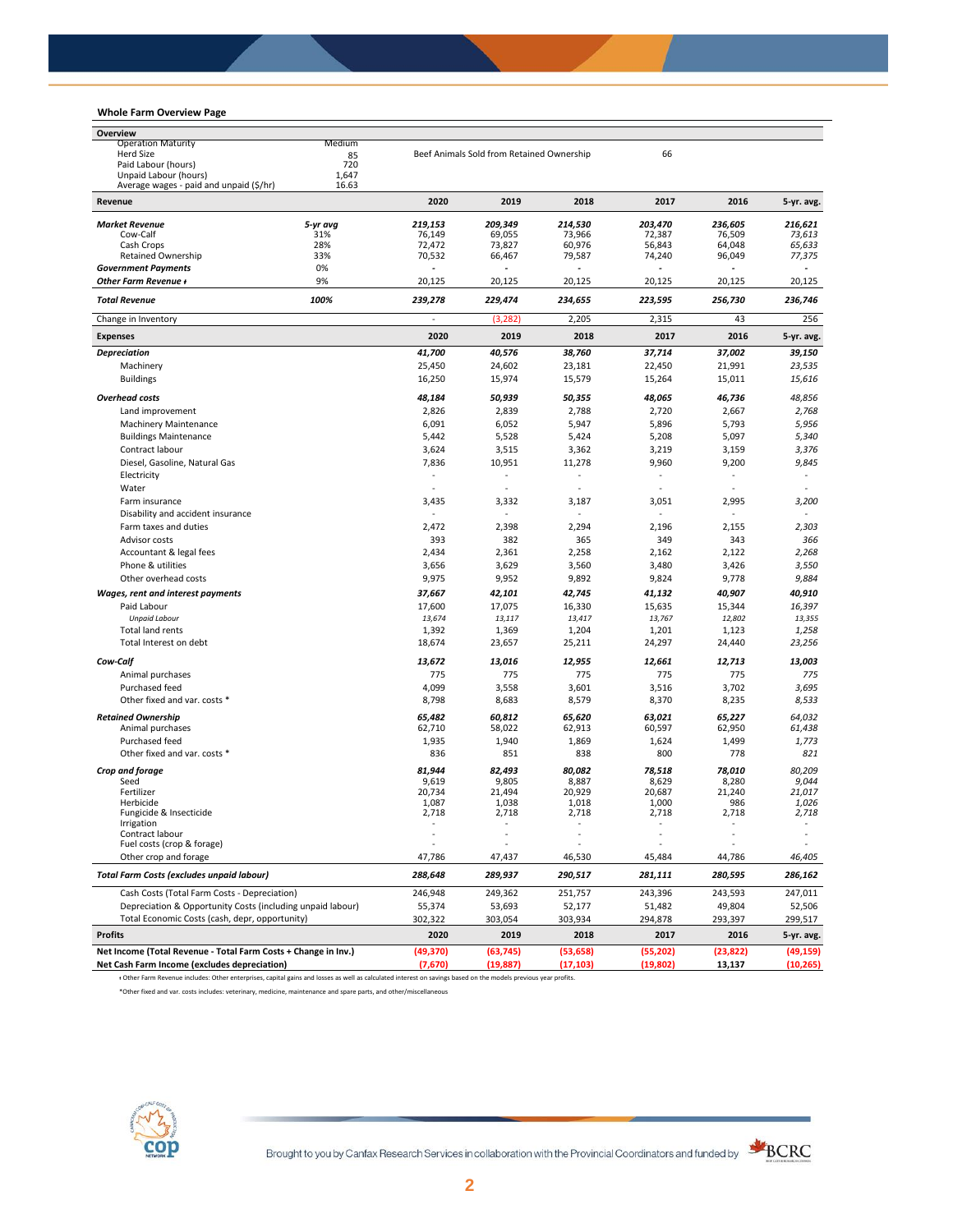# **Whole Farm Overview Page**

| Overview                                                         |                 |                          |                                           |                   |                   |                   |                   |
|------------------------------------------------------------------|-----------------|--------------------------|-------------------------------------------|-------------------|-------------------|-------------------|-------------------|
| <b>Operation Maturity</b>                                        | Medium          |                          |                                           |                   |                   |                   |                   |
| Herd Size                                                        | 85              |                          | Beef Animals Sold from Retained Ownership |                   | 66                |                   |                   |
| Paid Labour (hours)                                              | 720             |                          |                                           |                   |                   |                   |                   |
| Unpaid Labour (hours)<br>Average wages - paid and unpaid (\$/hr) | 1,647<br>16.63  |                          |                                           |                   |                   |                   |                   |
| Revenue                                                          |                 | 2020                     | 2019                                      | 2018              | 2017              | 2016              | 5-yr. avg.        |
|                                                                  |                 |                          |                                           |                   |                   |                   |                   |
| <b>Market Revenue</b><br>Cow-Calf                                | 5-yr avg<br>31% | 219,153<br>76,149        | 209,349<br>69,055                         | 214,530<br>73.966 | 203,470<br>72,387 | 236,605<br>76,509 | 216.621<br>73,613 |
| Cash Crops                                                       | 28%             | 72,472                   | 73,827                                    | 60,976            | 56,843            | 64,048            | 65,633            |
| Retained Ownership                                               | 33%             | 70,532                   | 66,467                                    | 79,587            | 74,240            | 96,049            | 77,375            |
| <b>Government Payments</b>                                       | 0%              |                          |                                           |                   |                   |                   |                   |
| Other Farm Revenue +                                             | 9%              | 20,125                   | 20,125                                    | 20,125            | 20,125            | 20,125            | 20,125            |
| <b>Total Revenue</b>                                             | 100%            | 239,278                  | 229,474                                   | 234,655           | 223,595           | 256,730           | 236,746           |
| Change in Inventory                                              |                 | $\overline{\phantom{a}}$ | (3, 282)                                  | 2,205             | 2,315             | 43                | 256               |
| <b>Expenses</b>                                                  |                 | 2020                     | 2019                                      | 2018              | 2017              | 2016              | 5-yr. avg.        |
| <b>Depreciation</b>                                              |                 | 41,700                   | 40,576                                    | 38,760            | 37,714            | 37,002            | 39,150            |
| Machinery                                                        |                 | 25,450                   | 24,602                                    | 23,181            | 22,450            | 21,991            | 23,535            |
| <b>Buildings</b>                                                 |                 | 16,250                   | 15,974                                    | 15,579            | 15,264            | 15,011            | 15,616            |
| <b>Overhead costs</b>                                            |                 | 48,184                   | 50,939                                    | 50,355            | 48,065            | 46,736            | 48,856            |
| Land improvement                                                 |                 | 2,826                    | 2,839                                     | 2,788             | 2,720             | 2,667             | 2,768             |
| <b>Machinery Maintenance</b>                                     |                 | 6,091                    | 6,052                                     | 5,947             | 5,896             | 5,793             | 5,956             |
| <b>Buildings Maintenance</b>                                     |                 | 5,442                    | 5,528                                     | 5,424             | 5,208             | 5,097             | 5,340             |
| Contract labour                                                  |                 | 3,624                    | 3,515                                     | 3,362             | 3,219             | 3,159             | 3,376             |
| Diesel, Gasoline, Natural Gas                                    |                 | 7,836                    | 10,951                                    | 11,278            | 9,960             | 9,200             | 9,845             |
| Electricity                                                      |                 | $\blacksquare$           | ä,                                        |                   | ÷,                | $\blacksquare$    | $\blacksquare$    |
| Water                                                            |                 | $\overline{\phantom{a}}$ |                                           |                   | ٠.                |                   |                   |
| Farm insurance                                                   |                 | 3,435                    | 3,332                                     | 3,187             | 3,051             | 2,995             | 3,200             |
| Disability and accident insurance                                |                 |                          |                                           |                   |                   |                   |                   |
| Farm taxes and duties                                            |                 | 2,472                    | 2,398                                     | 2,294             | 2,196             | 2,155             | 2,303             |
| Advisor costs                                                    |                 | 393                      | 382                                       | 365               | 349               | 343               | 366               |
| Accountant & legal fees                                          |                 | 2,434                    | 2,361                                     | 2,258             | 2,162             | 2,122             | 2,268             |
| Phone & utilities                                                |                 | 3,656                    | 3,629                                     | 3,560             | 3,480             | 3,426             | 3,550             |
| Other overhead costs                                             |                 | 9,975                    | 9,952                                     | 9,892             | 9,824             | 9,778             | 9,884             |
| <b>Wages, rent and interest payments</b>                         |                 | 37,667                   | 42,101                                    | 42,745            | 41,132            | 40,907            | 40,910            |
| Paid Labour                                                      |                 | 17,600                   | 17,075                                    | 16,330            | 15,635            | 15,344            | 16,397            |
| <b>Unpaid Labour</b>                                             |                 | 13,674                   | 13,117                                    | 13,417            | 13,767            | 12,802            | 13,355            |
| Total land rents                                                 |                 | 1,392                    | 1,369                                     | 1,204             | 1,201             | 1,123             | 1,258             |
| Total Interest on debt                                           |                 | 18,674                   | 23,657                                    | 25,211            | 24,297            | 24,440            | 23,256            |
| Cow-Calf                                                         |                 | 13,672                   | 13,016                                    | 12,955            | 12,661            | 12,713            | 13,003            |
| Animal purchases                                                 |                 | 775                      | 775                                       | 775               | 775               | 775               | 775               |
| Purchased feed                                                   |                 | 4,099                    | 3,558                                     | 3,601             | 3,516             | 3,702             | 3,695             |
| Other fixed and var. costs *                                     |                 | 8,798                    | 8,683                                     | 8,579             | 8,370             | 8,235             | 8,533             |
| <b>Retained Ownership</b>                                        |                 | 65,482                   | 60,812                                    | 65,620            | 63,021            | 65,227            | 64,032            |
| Animal purchases                                                 |                 | 62,710                   | 58,022                                    | 62,913            | 60,597            | 62,950            | 61,438            |
| Purchased feed                                                   |                 | 1,935                    | 1,940                                     | 1,869             | 1,624             | 1,499             | 1,773             |
| Other fixed and var. costs *                                     |                 | 836                      | 851                                       | 838               | 800               | 778               | 821               |
| Crop and forage                                                  |                 | 81,944                   | 82,493                                    | 80,082            | 78,518            | 78.010            | 80,209            |
| Seed                                                             |                 | 9,619                    | 9,805                                     | 8,887             | 8,629             | 8,280             | 9,044             |
| Fertilizer                                                       |                 | 20,734                   | 21,494                                    | 20,929            | 20,687            | 21,240            | 21,017            |
| Herbicide<br>Fungicide & Insecticide                             |                 | 1,087<br>2,718           | 1,038<br>2,718                            | 1,018<br>2,718    | 1,000<br>2,718    | 986<br>2,718      | 1,026<br>2,718    |
| irrigation                                                       |                 |                          |                                           |                   |                   |                   |                   |
| Contract labour                                                  |                 |                          |                                           |                   |                   |                   |                   |
| Fuel costs (crop & forage)                                       |                 |                          |                                           |                   |                   |                   |                   |
| Other crop and forage                                            |                 | 47,786                   | 47,437                                    | 46,530            | 45,484            | 44,786            | 46,405            |
| <b>Total Farm Costs (excludes unpaid labour)</b>                 |                 | 288,648                  | 289,937                                   | 290,517           | 281,111           | 280,595           | 286,162           |
| Cash Costs (Total Farm Costs - Depreciation)                     |                 | 246,948                  | 249,362                                   | 251,757           | 243,396           | 243,593           | 247,011           |
| Depreciation & Opportunity Costs (including unpaid labour)       |                 | 55,374                   | 53,693                                    | 52,177            | 51,482            | 49,804            | 52,506            |
| Total Economic Costs (cash, depr, opportunity)                   |                 | 302,322                  | 303,054                                   | 303,934           | 294,878           | 293,397           | 299,517           |
| <b>Profits</b>                                                   |                 | 2020                     | 2019                                      | 2018              | 2017              | 2016              | 5-yr. avg.        |
| Net Income (Total Revenue - Total Farm Costs + Change in Inv.)   |                 | (49, 370)                | (63, 745)                                 | (53, 658)         | (55, 202)         | (23, 822)         | (49, 159)         |
| Net Cash Farm Income (excludes depreciation)                     |                 | (7,670)                  | (19, 887)                                 | (17, 103)         | (19,802)          | 13,137            | (10, 265)         |

ᵻ Other Farm Revenue includes: Other enterprises, capital gains and losses as well as calculated interest on savings based on the models previous year profits.

\*Other fixed and var. costs includes: veterinary, medicine, maintenance and spare parts, and other/miscellaneous

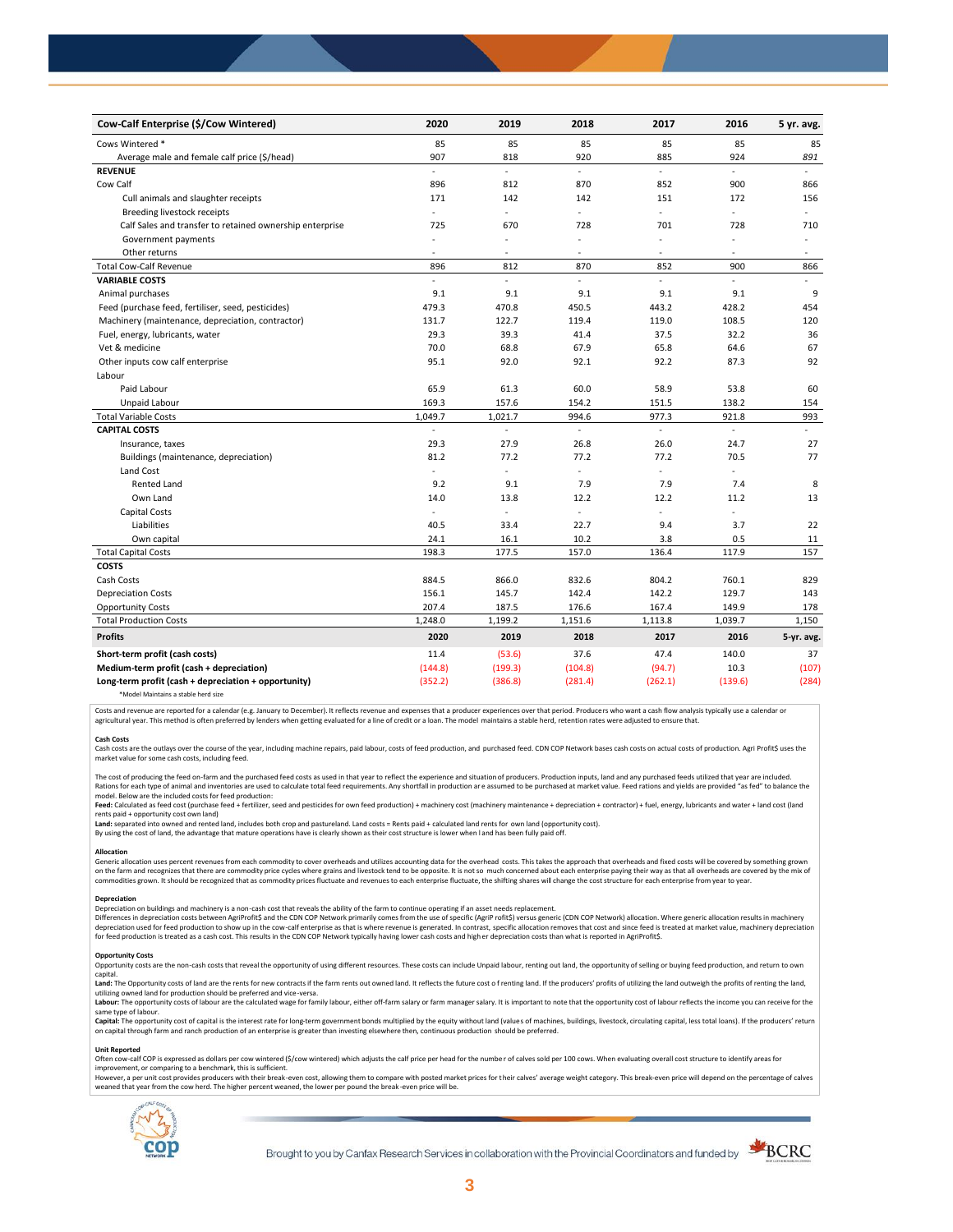| Cow-Calf Enterprise (\$/Cow Wintered)                    | 2020                     | 2019           | 2018                     | 2017    | 2016           | 5 yr. avg.               |
|----------------------------------------------------------|--------------------------|----------------|--------------------------|---------|----------------|--------------------------|
| Cows Wintered *                                          | 85                       | 85             | 85                       | 85      | 85             | 85                       |
| Average male and female calf price (\$/head)             | 907                      | 818            | 920                      | 885     | 924            | 891                      |
| <b>REVENUE</b>                                           | L.                       | L,             | ä,                       | L.      | L.             | $\mathbf{r}$             |
| Cow Calf                                                 | 896                      | 812            | 870                      | 852     | 900            | 866                      |
| Cull animals and slaughter receipts                      | 171                      | 142            | 142                      | 151     | 172            | 156                      |
| Breeding livestock receipts                              | ÷.                       | ÷.             | ÷.                       | ÷.      | ÷,             | $\omega$                 |
| Calf Sales and transfer to retained ownership enterprise | 725                      | 670            | 728                      | 701     | 728            | 710                      |
| Government payments                                      | $\sim$                   | ÷,             | $\overline{\phantom{a}}$ | ÷,      | ÷,             | $\bar{a}$                |
| Other returns                                            | $\overline{\phantom{a}}$ | ٠              | $\overline{\phantom{a}}$ | $\sim$  | $\overline{a}$ | $\overline{\phantom{a}}$ |
| <b>Total Cow-Calf Revenue</b>                            | 896                      | 812            | 870                      | 852     | 900            | 866                      |
| <b>VARIABLE COSTS</b>                                    | L.                       | L.             | ä,                       | L.      | $\overline{a}$ | $\omega$                 |
| Animal purchases                                         | 9.1                      | 9.1            | 9.1                      | 9.1     | 9.1            | 9                        |
| Feed (purchase feed, fertiliser, seed, pesticides)       | 479.3                    | 470.8          | 450.5                    | 443.2   | 428.2          | 454                      |
| Machinery (maintenance, depreciation, contractor)        | 131.7                    | 122.7          | 119.4                    | 119.0   | 108.5          | 120                      |
| Fuel, energy, lubricants, water                          | 29.3                     | 39.3           | 41.4                     | 37.5    | 32.2           | 36                       |
| Vet & medicine                                           | 70.0                     | 68.8           | 67.9                     | 65.8    | 64.6           | 67                       |
| Other inputs cow calf enterprise                         | 95.1                     | 92.0           | 92.1                     | 92.2    | 87.3           | 92                       |
| Labour                                                   |                          |                |                          |         |                |                          |
| Paid Labour                                              | 65.9                     | 61.3           | 60.0                     | 58.9    | 53.8           | 60                       |
| Unpaid Labour                                            | 169.3                    | 157.6          | 154.2                    | 151.5   | 138.2          | 154                      |
| <b>Total Variable Costs</b>                              | 1,049.7                  | 1,021.7        | 994.6                    | 977.3   | 921.8          | 993                      |
| <b>CAPITAL COSTS</b>                                     |                          |                |                          |         |                |                          |
| Insurance, taxes                                         | 29.3                     | 27.9           | 26.8                     | 26.0    | 24.7           | 27                       |
| Buildings (maintenance, depreciation)                    | 81.2                     | 77.2           | 77.2                     | 77.2    | 70.5           | 77                       |
| Land Cost                                                | ÷                        | ä,             |                          | ä,      |                |                          |
| <b>Rented Land</b>                                       | 9.2                      | 9.1            | 7.9                      | 7.9     | 7.4            | 8                        |
| Own Land                                                 | 14.0                     | 13.8           | 12.2                     | 12.2    | 11.2           | 13                       |
| Capital Costs                                            |                          | $\overline{a}$ | ÷,                       | ä,      | L.             |                          |
| Liabilities                                              | 40.5                     | 33.4           | 22.7                     | 9.4     | 3.7            | 22                       |
| Own capital                                              | 24.1                     | 16.1           | 10.2                     | 3.8     | 0.5            | 11                       |
| <b>Total Capital Costs</b>                               | 198.3                    | 177.5          | 157.0                    | 136.4   | 117.9          | 157                      |
| <b>COSTS</b>                                             |                          |                |                          |         |                |                          |
| Cash Costs                                               | 884.5                    | 866.0          | 832.6                    | 804.2   | 760.1          | 829                      |
| <b>Depreciation Costs</b>                                | 156.1                    | 145.7          | 142.4                    | 142.2   | 129.7          | 143                      |
| <b>Opportunity Costs</b>                                 | 207.4                    | 187.5          | 176.6                    | 167.4   | 149.9          | 178                      |
| <b>Total Production Costs</b>                            | 1,248.0                  | 1,199.2        | 1,151.6                  | 1,113.8 | 1,039.7        | 1,150                    |
| <b>Profits</b>                                           | 2020                     | 2019           | 2018                     | 2017    | 2016           | 5-yr. avg.               |
| Short-term profit (cash costs)                           | 11.4                     | (53.6)         | 37.6                     | 47.4    | 140.0          | 37                       |
| Medium-term profit (cash + depreciation)                 | (144.8)                  | (199.3)        | (104.8)                  | (94.7)  | 10.3           | (107)                    |
| Long-term profit (cash + depreciation + opportunity)     | (352.2)                  | (386.8)        | (281.4)                  | (262.1) | (139.6)        | (284)                    |
|                                                          |                          |                |                          |         |                |                          |

\*Model Maintains a stable herd size

Costs and revenue are reported for a calendar (e.g. January to December). It reflects revenue and expenses that a producer experiences over that period. Producers who want a cash flow analysis typically use a calendar or agricultural year. This method is often preferred by lenders when getting evaluated for a line of credit or a loan. The model maintains a stable herd, retention rates were adjusted to ensure that

C<mark>ash Costs</mark><br>Cash costs are the outlays over the course of the year, including machine repairs, paid labour, costs of feed production, and purchased feed. CDN COP Network bases cash costs on actual costs of production. Agr market value for some cash costs, including feed.

The cost of producing the feed on-farm and the purchased feed costs as used in that year to reflect the experience and situation of producers. Production inputs, land and any purchased feeds utilized that year are included model. Below are the included costs for feed production:

moder.outwhat was made used to receip would continuour.<br>**Feed:** Calculated as feed cost (purchase feed + fertilizer, seed and pesticides for own feed production) + machinery cost (machinery maintenance + depreciation + con rents paid + opportunity cost own land)

**Land:** separated into owned and rented land, includes both crop and pastureland. Land costs = Rents paid + calculated land rents for own land (opportunity cost).

By using the cost of land, the advantage that mature operations have is clearly shown as their cost structure is lower when l and has been fully paid off.

## **Allocation**

Generic allocation uses percent revenues from each commodity to cover overheads and utilizes accounting data for the overhead costs. This takes the approach that overheads and fixed costs will be covered by something grown commodities grown. It should be recognized that as commodity prices fluctuate and revenues to each enterprise fluctuate, the shifting shares will change the cost structure for each enterprise from year to year.

## **Depreciation**

Depreciation on buildings and machinery is a non-cash cost that reveals the ability of the farm to continue operating if an asset needs replacement. Differences in depreciation costs between AgriProfit\$ and the CDN COP Network primarily comes from the use of specific (AgriP rofit\$) versus generic (CDN COP Network) allocation. Where generic allocation results in machine

## **Opportunity Costs**

Provincing COSS are the non-cash costs that reveal the opportunity of using different resources. These costs can include Unpaid labour, renting out land, the opportunity of selling or buying feed production, and return to capital.

required.<br>Land: The Opportunity costs of land are the rents for new contracts if the farm rents out owned land. It reflects the future cost of renting land. If the producers' profits of utilizing the land outweigh the prof utilizing owned land for production should be preferred and vice-versa.<br>**Labour:** The opportunity costs of labour are the calculated wage for family labour, either off-farm salary or farm manager salary. It is important to

same type of labour.

**Capita**l: The opportunity cost of capital is the interest rate for long-term government bonds multiplied by the equity without land (values of machines, buildings, livestock, circulating capital, less total loans). If the

### **Unit Reported**

Often cow-calf COP is expressed as dollars per cow wintered (\$/cow wintered) which adjusts the calf price per head for the number of calves sold per 100 cows. When evaluating overall cost structure to identify areas for<br>im

however..export of the structure with the structure of the break-even cost. allowing them to compare with posted market prices for their calves' average weight category. This break-even price will depend on the percentage weaned that year from the cow herd. The higher percent weaned, the lower per pound the break -even price will be.



Brought to you by Canfax Research Services in collaboration with the Provincial Coordinators and funded by

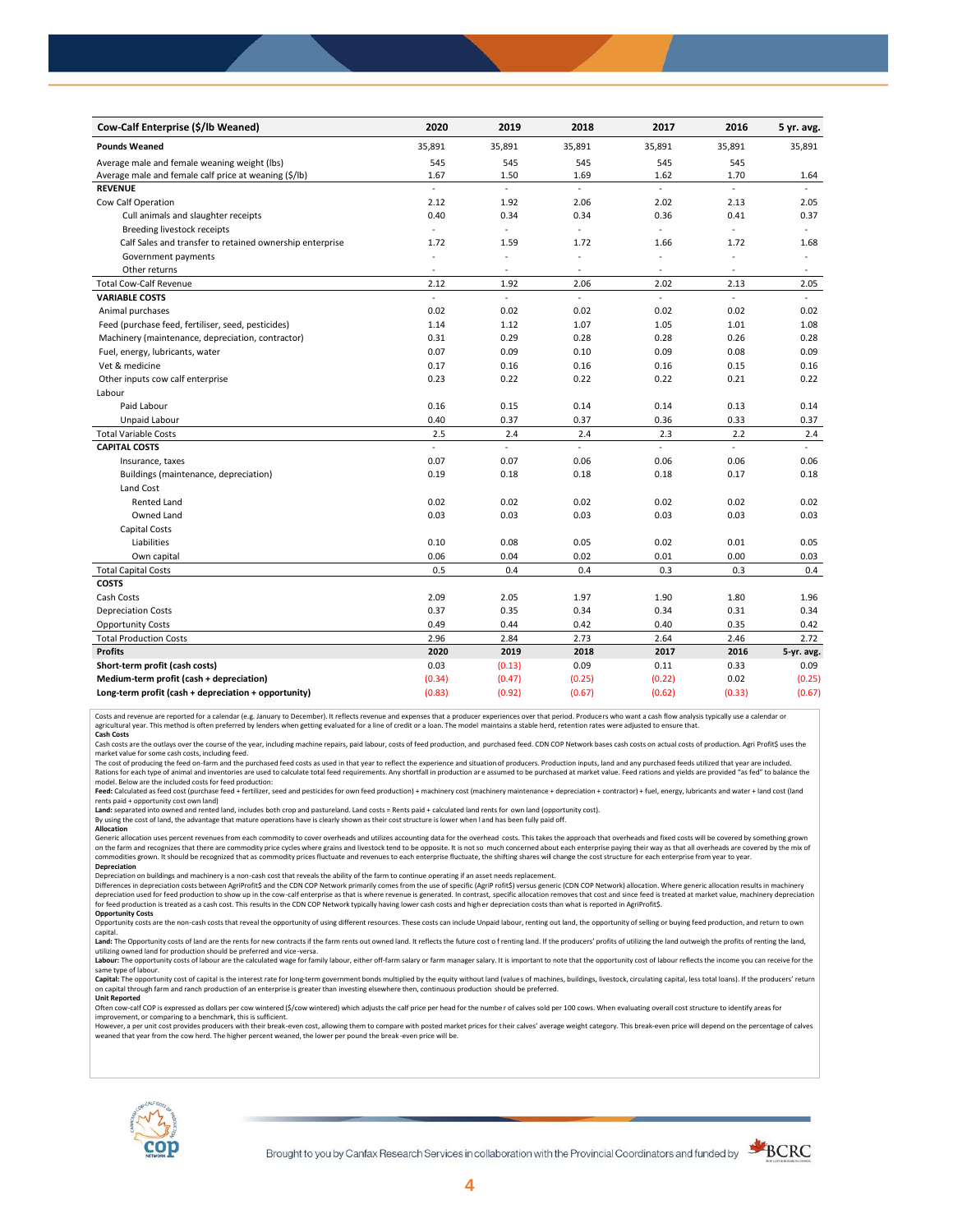| Cow-Calf Enterprise (\$/lb Weaned)                       | 2020          | 2019                     | 2018   | 2017                     | 2016           | 5 yr. avg.               |
|----------------------------------------------------------|---------------|--------------------------|--------|--------------------------|----------------|--------------------------|
| <b>Pounds Weaned</b>                                     | 35,891        | 35,891                   | 35,891 | 35,891                   | 35,891         | 35,891                   |
| Average male and female weaning weight (lbs)             | 545           | 545                      | 545    | 545                      | 545            |                          |
| Average male and female calf price at weaning (\$/lb)    | 1.67          | 1.50                     | 1.69   | 1.62                     | 1.70           | 1.64                     |
| <b>REVENUE</b>                                           | ÷.            | L.                       | ä,     | L,                       | ä,             |                          |
| Cow Calf Operation                                       | 2.12          | 1.92                     | 2.06   | 2.02                     | 2.13           | 2.05                     |
| Cull animals and slaughter receipts                      | 0.40          | 0.34                     | 0.34   | 0.36                     | 0.41           | 0.37                     |
| Breeding livestock receipts                              | $\bar{z}$     | ä,                       | ÷,     | ä,                       | $\overline{a}$ | $\blacksquare$           |
| Calf Sales and transfer to retained ownership enterprise | 1.72          | 1.59                     | 1.72   | 1.66                     | 1.72           | 1.68                     |
| Government payments                                      |               | ÷,                       | ä,     | ä,                       | ÷,             | $\overline{\phantom{a}}$ |
| Other returns                                            | $\sim$        | $\overline{\phantom{a}}$ | ٠      | $\overline{\phantom{a}}$ | $\sim$         | $\overline{\phantom{a}}$ |
| <b>Total Cow-Calf Revenue</b>                            | 2.12          | 1.92                     | 2.06   | 2.02                     | 2.13           | 2.05                     |
| <b>VARIABLE COSTS</b>                                    | L.            | ä,                       | L.     | L.                       | L.             | $\mathbf{r}$             |
| Animal purchases                                         | 0.02          | 0.02                     | 0.02   | 0.02                     | 0.02           | 0.02                     |
| Feed (purchase feed, fertiliser, seed, pesticides)       | 1.14          | 1.12                     | 1.07   | 1.05                     | 1.01           | 1.08                     |
| Machinery (maintenance, depreciation, contractor)        | 0.31          | 0.29                     | 0.28   | 0.28                     | 0.26           | 0.28                     |
| Fuel, energy, lubricants, water                          | 0.07          | 0.09                     | 0.10   | 0.09                     | 0.08           | 0.09                     |
| Vet & medicine                                           | 0.17          | 0.16                     | 0.16   | 0.16                     | 0.15           | 0.16                     |
| Other inputs cow calf enterprise                         | 0.23          | 0.22                     | 0.22   | 0.22                     | 0.21           | 0.22                     |
| Labour                                                   |               |                          |        |                          |                |                          |
| Paid Labour                                              | 0.16          | 0.15                     | 0.14   | 0.14                     | 0.13           | 0.14                     |
| Unpaid Labour                                            | 0.40          | 0.37                     | 0.37   | 0.36                     | 0.33           | 0.37                     |
| <b>Total Variable Costs</b>                              | 2.5           | 2.4                      | 2.4    | 2.3                      | 2.2            | 2.4                      |
| <b>CAPITAL COSTS</b>                                     | $\mathcal{L}$ | L.                       | ÷.     | u.                       | $\sim$         | u.                       |
| Insurance, taxes                                         | 0.07          | 0.07                     | 0.06   | 0.06                     | 0.06           | 0.06                     |
| Buildings (maintenance, depreciation)                    | 0.19          | 0.18                     | 0.18   | 0.18                     | 0.17           | 0.18                     |
| Land Cost                                                |               |                          |        |                          |                |                          |
| <b>Rented Land</b>                                       | 0.02          | 0.02                     | 0.02   | 0.02                     | 0.02           | 0.02                     |
| Owned Land                                               | 0.03          | 0.03                     | 0.03   | 0.03                     | 0.03           | 0.03                     |
| <b>Capital Costs</b>                                     |               |                          |        |                          |                |                          |
| Liabilities                                              | 0.10          | 0.08                     | 0.05   | 0.02                     | 0.01           | 0.05                     |
| Own capital                                              | 0.06          | 0.04                     | 0.02   | 0.01                     | 0.00           | 0.03                     |
| <b>Total Capital Costs</b>                               | 0.5           | 0.4                      | 0.4    | 0.3                      | 0.3            | 0.4                      |
| <b>COSTS</b>                                             |               |                          |        |                          |                |                          |
| Cash Costs                                               | 2.09          | 2.05                     | 1.97   | 1.90                     | 1.80           | 1.96                     |
| <b>Depreciation Costs</b>                                | 0.37          | 0.35                     | 0.34   | 0.34                     | 0.31           | 0.34                     |
| <b>Opportunity Costs</b>                                 | 0.49          | 0.44                     | 0.42   | 0.40                     | 0.35           | 0.42                     |
| <b>Total Production Costs</b>                            | 2.96          | 2.84                     | 2.73   | 2.64                     | 2.46           | 2.72                     |
| <b>Profits</b>                                           | 2020          | 2019                     | 2018   | 2017                     | 2016           | 5-yr. avg.               |
| Short-term profit (cash costs)                           | 0.03          | (0.13)                   | 0.09   | 0.11                     | 0.33           | 0.09                     |
| Medium-term profit (cash + depreciation)                 | (0.34)        | (0.47)                   | (0.25) | (0.22)                   | 0.02           | (0.25)                   |
| Long-term profit (cash + depreciation + opportunity)     | (0.83)        | (0.92)                   | (0.67) | (0.62)                   | (0.33)         | (0.67)                   |

Costs and revenue are reported for a calendar (e.g. January to December). It reflects revenue and expenses that a producer experiences over that period. Producers who want a cash flow analysis typically use a calendar or<br>a

cash costs are the outlays over the course of the year, including machine repairs, paid labour, costs of feed production, and purchased feed. CDN COP Network bases cash costs on actual costs of production. Agri Profit\$ use

market value for some cash costs, including feed.

The cost of producing the feed on-farm and the purchased feed costs as used in that year to reflect the experience and situation of producers. Production inputs, land and any purchased feeds utilized that year are included

model. Below are the included costs for feed production: Feed: Calculated as feed cost (purchase feed + fertilizer, seed and pesticides for own feed production) + machinery cost (machinery maintenance + depreciation + contractor) + fuel, energy, lubricants and water + land cost

Land: separated into owned and rented land, includes both crop and pastureland. Land costs = Rents paid + calculated land rents for own land (opportunity cost).

By using the cost of land, the advantage that mature operations have is clearly shown as their cost structure is lower when l and has been fully paid off.

# **Allocation**

Generic allocation uses percent revenues from each commodity to cover overheads and utilizes accounting data for the overhead costs. This takes the approach that overheads and fixed costs will be covered by something grown on the farm and recognizes that there are commodity price cycles where grains and livestock tend to be opposite. It is not so much concerned about each enterprise paying their way as that all overheads are covered by the m **Depreciation**

Depreciation on buildings and machinery is a non-cash cost that reveals the ability of the farm to continue operating if an asset needs replacement.

Differences in depreciation costs between AgriProfit\$ and the CDN COP Network primarily comes from the use of specific (AgriP rofit\$) versus generic (CDN COP Network) allocation. Where generic allocation results in machine

### **Opportunity Costs**

Opportunity costs are the non-cash costs that reveal the opportunity of using different resources. These costs can include Unpaid labour, renting out land, the opportunity of selling or buying feed production, and return t Land: The Opportunity costs of land are the rents for new contracts if the farm rents out owned land. It reflects the future cost of renting land. If the producers' profits of utilizing the land outweigh the profits of ren

utilizing owned land for production should be preferred and vice-versa.<br>**Labour:** The opportunity costs of labour are the calculated wage for family labour, either off-farm salary or farm manager salary. It is important to same type of labour.

Capital: The opportunity cost of capital is the interest rate for long-term government bonds multiplied by the equity without land (values of machines, buildings, livestock, circulating capital, less total loans). If the p on capital through farm and ranch production of an enterprise is greater than investing elsewhere then, continuous production should be preferred. **Unit Reported**

Often cow-calf COP is expressed as dollars per cow wintered (\$/cow wintered) which adjusts the calf price per head for the numbe r of calves sold per 100 cows. When evaluating overall cost structure to identify areas for

improvement, or comparing to a benchmark, this is sufficient.<br>However, a per unit cost provides producers with their break-even cost, allowing them to compare with posted market prices for their calves' average weight cate weaned that year from the cow herd. The higher percent weaned, the lower per pound the break -even price will be.



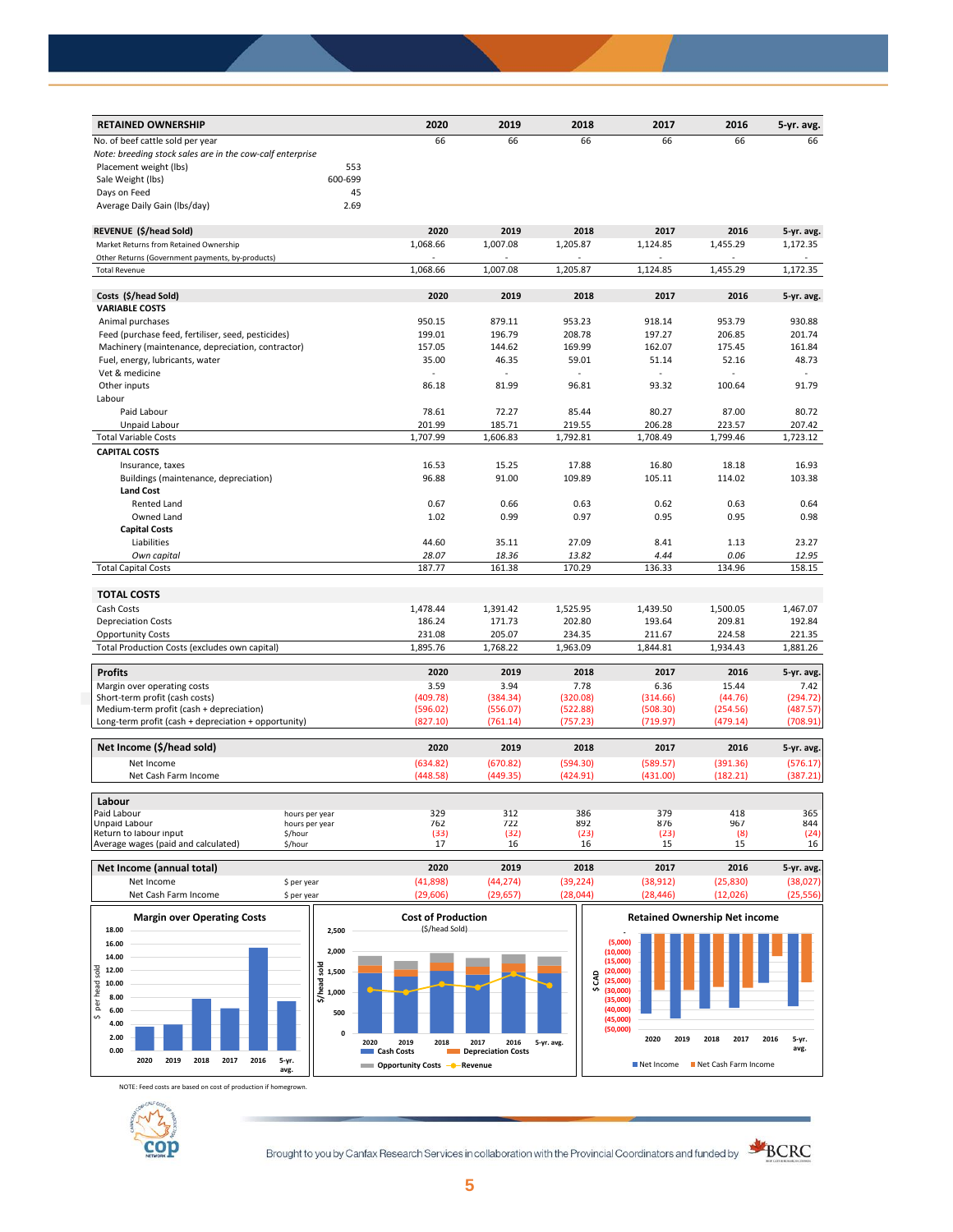| <b>RETAINED OWNERSHIP</b>                                     | 2020     | 2019     | 2018     | 2017     | 2016     | 5-yr. avg. |
|---------------------------------------------------------------|----------|----------|----------|----------|----------|------------|
| No. of beef cattle sold per year                              | 66       | 66       | 66       | 66       | 66       | 66         |
| Note: breeding stock sales are in the cow-calf enterprise     |          |          |          |          |          |            |
| Placement weight (lbs)                                        | 553      |          |          |          |          |            |
| 600-699<br>Sale Weight (lbs)                                  |          |          |          |          |          |            |
| Days on Feed                                                  | 45       |          |          |          |          |            |
| Average Daily Gain (Ibs/day)                                  | 2.69     |          |          |          |          |            |
| REVENUE (\$/head Sold)                                        | 2020     | 2019     | 2018     | 2017     | 2016     | 5-yr. avg. |
| Market Returns from Retained Ownership                        | 1,068.66 | 1,007.08 | 1,205.87 | 1,124.85 | 1,455.29 | 1,172.35   |
| Other Returns (Government payments, by-products)              |          |          |          |          |          |            |
| <b>Total Revenue</b>                                          | 1,068.66 | 1,007.08 | 1,205.87 | 1,124.85 | 1,455.29 | 1,172.35   |
|                                                               |          |          |          |          |          |            |
| Costs (\$/head Sold)                                          | 2020     | 2019     | 2018     | 2017     | 2016     | 5-yr. avg. |
| <b>VARIABLE COSTS</b>                                         |          |          |          |          |          |            |
| Animal purchases                                              | 950.15   | 879.11   | 953.23   | 918.14   | 953.79   | 930.88     |
| Feed (purchase feed, fertiliser, seed, pesticides)            | 199.01   | 196.79   | 208.78   | 197.27   | 206.85   | 201.74     |
| Machinery (maintenance, depreciation, contractor)             | 157.05   | 144.62   | 169.99   | 162.07   | 175.45   | 161.84     |
| Fuel, energy, lubricants, water                               | 35.00    | 46.35    | 59.01    | 51.14    | 52.16    | 48.73      |
| Vet & medicine                                                |          |          |          |          |          |            |
| Other inputs                                                  | 86.18    | 81.99    | 96.81    | 93.32    | 100.64   | 91.79      |
| Labour                                                        |          |          |          |          |          |            |
| Paid Labour                                                   | 78.61    | 72.27    | 85.44    | 80.27    | 87.00    | 80.72      |
| Unpaid Labour                                                 | 201.99   | 185.71   | 219.55   | 206.28   | 223.57   | 207.42     |
| <b>Total Variable Costs</b>                                   | 1,707.99 | 1,606.83 | 1,792.81 | 1,708.49 | 1,799.46 | 1,723.12   |
| <b>CAPITAL COSTS</b>                                          |          |          |          |          |          |            |
| Insurance, taxes                                              | 16.53    | 15.25    | 17.88    | 16.80    | 18.18    | 16.93      |
| Buildings (maintenance, depreciation)                         | 96.88    | 91.00    | 109.89   | 105.11   | 114.02   | 103.38     |
| <b>Land Cost</b>                                              |          |          |          |          |          |            |
| Rented Land                                                   | 0.67     | 0.66     | 0.63     | 0.62     | 0.63     | 0.64       |
| Owned Land                                                    | 1.02     | 0.99     | 0.97     | 0.95     | 0.95     | 0.98       |
| <b>Capital Costs</b>                                          |          |          |          |          |          |            |
| Liabilities                                                   | 44.60    | 35.11    | 27.09    | 8.41     | 1.13     | 23.27      |
| Own capital                                                   | 28.07    | 18.36    | 13.82    | 4.44     | 0.06     | 12.95      |
| <b>Total Capital Costs</b>                                    | 187.77   | 161.38   | 170.29   | 136.33   | 134.96   | 158.15     |
|                                                               |          |          |          |          |          |            |
| <b>TOTAL COSTS</b>                                            |          |          |          |          |          |            |
| Cash Costs                                                    | 1,478.44 | 1,391.42 | 1,525.95 | 1,439.50 | 1,500.05 | 1,467.07   |
| <b>Depreciation Costs</b>                                     | 186.24   | 171.73   | 202.80   | 193.64   | 209.81   | 192.84     |
| <b>Opportunity Costs</b>                                      | 231.08   | 205.07   | 234.35   | 211.67   | 224.58   | 221.35     |
| Total Production Costs (excludes own capital)                 | 1,895.76 | 1,768.22 | 1,963.09 | 1,844.81 | 1,934.43 | 1,881.26   |
| <b>Profits</b>                                                | 2020     | 2019     | 2018     | 2017     | 2016     | 5-yr. avg. |
|                                                               | 3.59     | 3.94     | 7.78     | 6.36     | 15.44    | 7.42       |
| Margin over operating costs<br>Short-term profit (cash costs) | (409.78) | (384.34) | (320.08) | (314.66) | (44.76)  | (294.72)   |
| Medium-term profit (cash + depreciation)                      | (596.02) | (556.07) | (522.88) | (508.30) | (254.56) | (487.57)   |
| Long-term profit (cash + depreciation + opportunity)          | (827.10) | (761.14) | (757.23) | (719.97) | (479.14) | (708.91)   |
|                                                               |          |          |          |          |          |            |
| Net Income (\$/head sold)                                     | 2020     | 2019     | 2018     | 2017     | 2016     | 5-yr. avg. |
| Net Income                                                    | (634.82) | (670.82) | (594.30) | (589.57) | (391.36) | (576.17)   |
| Net Cash Farm Income                                          | (448.58) | (449.35) | (424.91) | (431.00) | (182.21) | (387.21)   |
| Labour                                                        |          |          |          |          |          |            |
| Paid Labour<br>hours per year                                 | 329      | 312      | 386      | 379      | 418      | 365        |
| Unpaid Labour<br>hours per year                               | 762      | 722      | 892      | 876      | 967      | 844        |
| Return to labour input<br>\$/hour                             | (33)     | (32)     | (23)     | (23)     | (8)      | (24)       |
| Average wages (paid and calculated)<br>\$/hour                | 17       | 16       | 16       | 15       | 15       | 16         |

| Margin over Operating Costs |            | Cost of Droduction |          |           |           | <b>Patained Ownership Net income</b> |            |
|-----------------------------|------------|--------------------|----------|-----------|-----------|--------------------------------------|------------|
| Net Cash Farm Income        | 5 per vear | 29.606             | (29.657) | 28.044    | (28.446)  | (12.026)                             | 25.556)    |
| Net Income                  | 5 per year | 41,898)            | (44.274) | (39, 224) | (38, 912) | (25, 830)                            | 38,027)    |
| Net Income (annual total)   |            | 2020               | 2019     | 2018      | 2017      | 2016                                 | 5-yr. avg. |



NOTE: Feed costs are based on cost of production if homegrown.



Brought to you by Canfax Research Services in collaboration with the Provincial Coordinators and funded by **SKORC**